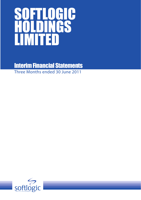# SOFTLOGIC HOLDINGS LIMITED

Interim Financial Statements Three Months ended 30 June 2011

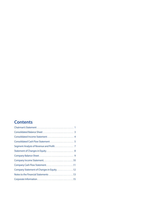# **Contents**

| Consolidated Income Statement 4            |
|--------------------------------------------|
| Consolidated Cash Flow Statement 5         |
| Segment Analysis of Revenue and Profit 7   |
|                                            |
|                                            |
|                                            |
|                                            |
| Company Statement of Changes in Equity. 12 |
|                                            |
|                                            |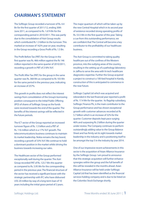# **CHAIRMAN'S STATEMENT**

The Softlogic Group recorded a turnover of Rs. 4.4 Bn for the first quarter of 2011/12, ending 30th June 2011, as compared to Rs. 1.674 Bn for the corresponding period in 2010/2011. This was partly due to the consolidation of Asiri Group results which contributed Rs 1.3 billion to the turnover. This marked an increase of 162% year on year, resulting in the Group recording a Gross Profit of Rs. 1.5 Bn.

The Profit Before Tax (PBT) for the Group in the first quarter was Rs. 466 million against the Rs 146 million reported in the same quarter of 2010/2011, recording a growth in PBT of 218% YoY.

The Profit After Tax (PAT) for the group in the same quarter was Rs. 368 Mn as compared to Rs 103 Mn for the same period in the previous year, indicating an increase of 257%.

This growth in profits does not reflect the interest savings from consolidation of the Group's borrowing position consequent to the Initial Public Offering (IPO) of shares of Softlogic Group as the funds were received towards the end of the quarter. The benefits of the interest savings will be reflected in the future periods.

The ICT sector of the Group reported an increased turnover figure of Rs. 1.5 billion and a PBT of Rs. 116 million which is a 17% YoY growth. The telecommunications business continues to maintain its market leadership. Nokia remains the key brand, recording a growth of 33% YoY. We continue to hold a dominant position in the market whilst driving the business towards increasing our sales.

The Healthcare sector of the Group performed exceptionally well during the quarter. The Asiri Group recorded PAT of Rs. 123.7 Mn this quarter as compared to Rs. 5.95 Mn for the corresponding period in the previous year. The financial structure of the sector has received a significant boost with the strategic partnership with IFC who have disbursed US\$ 20 million by way of a long-term loan of 10 years including the initial grace period of 2 years.

The major quantum of which will be taken up by the new Central Hospital which in its second year of existence recorded strong operating profits of Rs. 53.5 Mn in the first quarter of this year. Taking a cue from this outstanding performance, we are confident that The Central will become a key contributor to the profitability of our healthcare business.

The Asiri Group is committed to taking quality healthcare out of the confines of the Western province, into the outlying areas of the country, resulting in the setting up of a pathology laboratory in Jaffna to serve the area with hi-tech healthcare diagnostics expertise. Further the Group acquired a project to construct a 100-bed hospital in Kandy, construction of this is anticipated to commence in the near future.

Softlogic Capital Ltd which was acquired and rebranded in the last financial year reported a profit of Rs. 17.4 Mn for the quarter. Its flagship subsidiary, Softlogic Finance Plc, is the main contributor to the Group performance and has shown exceptional growth with customer advances recorded at Rs 5.7 billion which is an increase of 32% for the quarter. Customer deposits kept pace surging 46% and surpassing Rs 2 billion during the quarter under review. The Company continues to perform outstandingly adding value to the Group Balance Sheet and has firmly set its sight towards market leadership in the industry and is positioning itself to be amongst the top 5 in the industry by year 2014.

One of our impressive recent achievements in this sector is the acquisition of Asian Alliance Insurance by the Softlogic Group. I am proud to announce that this strategic acquisition will further enhance synergies within the group and the full benefit of this will be revealed in the months ahead. Asian Alliance Insurance will be held under Softlogic Capital Ltd that has been identified as the financial services holding company and is due to be listed on the Colombo Stock Exchange shortly.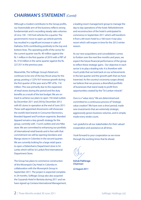# **CHAIRMAN'S STATEMENT** *(Contd)*

Although a modest contributor to the Group profits, our Automobile arm of the business reflects strong fundamentals and is recording steady sales volumes of circa 130 - 150 Ford vehicles for a quarter. The government's move to open up vehicle permits has resulted in a significant increase in sales of Daihatsu SUVs contributing positively to the top and bottom lines. The operating profit of the sector for the current quarter was Rs. 40 million against the Rs 1 million in the first quarter of 2010 with a PBT of Rs. 37.8 million in the same quarter against the Rs. 227,351 in the previous year.

Meanwhile, The Softlogic Group's Retail arm continues to be one of the key thrust areas for the group, posting a 122% YoY revenue growth during the first quarter of the year and a PBT of Rs. 116 million. This was primarily due to the expansion of retail stores during the period and the duty benefits as a result of the last budget. We are on track to achieve our plans to open 150 retail outlets by December 2011 and 250 by December 2012 with 85 stores in operation at the end of June 2011. These well-appointed showrooms will showcase the world's best brands in Consumer Electronics, Branded Apparel and Furniture segments. Branded Apparel remains a key growth strategy for the group, currently with 3 Levi's outlets and one Nike store. We are committed to enhancing our portfolio of international retail brands and in line with that commitment we will be opening Giordano and Mango stores in Colombo in the second quarter. We are currently looking for a large retail space to open a Debenhams Department store in Sri Lanka which will be Sri Lanka's first International Department Store.

The Group has plans to commence construction of the Movenpick City Hotel in Colombo in collaboration with the Movenpick Group in September 2011. The project is expected complete in 24 months. Softlogic Group also also acquired the Ceysands Hotel in Bentota during 2011 and we have signed up Centara International Management,

a leading resort management group to manage the day to day operations of the hotel. Refurbishment and reconstruction of the hotel is anticipated to commence in September 2011 which will transform it from a 84 room hotel to a 160 room 4 star plus resort which will reopen in time for the 2012 winter season.

As our new acquisitions and consolidation comes to fruition over the next few months and years, we expect the future financial performance of the group to reflect these strategic gains. Our objective in each sector is to play a leading role. It is therefore with much pride that we look back on our achievements in the last quarter and the growth path that we have traversed. As the country's economy surges ahead, we believe that we possess a diversified portfolio of businesses that stand ready to profit from opportunities created by the "Sri Lankan miracle".

Ours is a "value story". We are determined and committed to a continuous process of "strategic value creation". We have over a short period, made new investments that are extremely strategic, aggressively grown business volumes, and in simple, made every stroke count.

I am grateful to all our stakeholders for their valued cooperation and assistance at all times.

I look forward to your cooperation as we move through the exciting times that lie ahead.

**Ashok Pathirage** *Chairman*

*22 August 2011*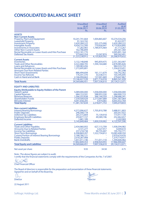# **CONSOLIDATED BALANCE SHEET**

|                                                                     | <b>Unaudited</b><br>as at<br>30.06.2011<br>Rs. | <b>Unaudited</b><br>as at<br>30.06.2010<br>Rs. | <b>Audited</b><br>as at<br>31.03.2011<br>Rs. |
|---------------------------------------------------------------------|------------------------------------------------|------------------------------------------------|----------------------------------------------|
| <b>ASSETS</b>                                                       |                                                |                                                |                                              |
| <b>Non-Current Assets</b>                                           |                                                |                                                |                                              |
| <b>Property, Plant and Equipment</b><br>Leasehold Property          | 10,241,741,664<br>91,163,742                   | 1,004,865,607                                  | 10,274,534,256<br>91,422,977                 |
| <b>Investment Property</b>                                          | 2,420,284,222                                  | 555,275,000                                    | 2,420,284,222                                |
| Intangible Assets                                                   | 4,934,155,300                                  | 770,656,647                                    | 4,710,820,895                                |
| <b>Investments in Associates</b><br><b>Other Non-Current Assets</b> | 77,282,965                                     | 1,789,475,464                                  | 61,113,267                                   |
| Rental Receivable on Lease Assets and Hire Purchase                 | 162,786,894<br>2,922,181,770                   |                                                | 245,561,360<br>2,095,891,164                 |
| <b>Deferred Tax Assets</b>                                          | 373.642.354                                    | 15,547,874                                     | 369,342,491                                  |
|                                                                     | 21,223,238,912                                 | 4,135,820,592                                  | 20.268.970.632                               |
| <b>Current Assets</b>                                               |                                                |                                                |                                              |
| <i><u><b>Inventories</b></u></i>                                    | 3,132,148,848                                  | 945,859,475                                    | 2,551,363,907                                |
| <b>Trade and Other Receivables</b><br><b>Loans and Advances</b>     | 4,322,468,705<br>1,189,983,456                 | 1,594,164,680                                  | 2,878,985,826<br>984,533,733                 |
| Rental Receivable on Lease Assets and Hire Purchase                 | 1,272,695,801                                  |                                                | 1,336,610,451                                |
| <b>Amounts Due from Related Parties</b>                             |                                                |                                                | 261.598                                      |
| <b>Short Term Investments</b>                                       | 886.494.694                                    | 161.111.679                                    | 730,742,362                                  |
| Income Tax Refunds<br><b>Cash in Hand and at Bank</b>               | 176,541,370<br>2,166,094,663                   | 33,538,515<br>137,041,669                      | 103,395,695<br>279,647,867                   |
|                                                                     | 13,146,427,539                                 | 2,871,716,018                                  | 8,865,541,439                                |
| <b>Total Assets</b>                                                 | 34,369,666,451                                 | 7,007,536,610                                  | 29,134,512,071                               |
|                                                                     |                                                |                                                |                                              |
| <b>EOUITY AND LIABILITIES</b>                                       |                                                |                                                |                                              |
| <b>Equity Attributable to Equity Holders of the Parent</b>          |                                                |                                                |                                              |
| <b>Stated Capital</b><br><b>Capital Reserves</b>                    | 5,089,000,000<br>684,153,591                   | 1.058.000.000<br>588,953,330                   | 1.058.000.000<br>684,900,723                 |
| <b>Revenue Reserves</b>                                             | 1,566,355,838                                  | 566,144,359                                    | 1,298,686,341                                |
| <b>Shareholders' Funds</b>                                          | 7,339,509,429                                  | 2,213,097,689                                  | 3,041,587,064                                |
| <b>Minority Interest</b>                                            | 4.041.658.205                                  | 4.974.065                                      | 4.003.432.769                                |
| <b>Total Equity</b>                                                 | 11,381,167,634                                 | 2.218.071.753                                  | 7,045,019,833                                |
| <b>Non-current Liabilities</b>                                      |                                                |                                                |                                              |
| <b>Interest Bearing Borrowings</b>                                  | 4,372,006,627                                  | 1,705,810,788                                  | 3,488,911,803                                |
| <b>Public Deposits</b>                                              | 246,568,118                                    |                                                | 205,057,922                                  |
| Deferred Tax Liabilities                                            | 265,515,804                                    | 75,139,918                                     | 173,917,139                                  |
| <b>Employee Benefit Liabilities</b><br>Deferred Income              | 259,877,727<br>1,681,189                       | 49,589,196                                     | 252,462,657<br>2.242.069                     |
|                                                                     | 5.145.649.464                                  | 1,830,539,902                                  | 4.122.591.590                                |
| <b>Current Liabilities</b>                                          |                                                |                                                |                                              |
| <b>Trade and Other Payables</b>                                     | 2,434,960,955                                  | 627,115,709                                    | 1,938,594,982                                |
| <b>Amounts Due to Related Parties</b>                               | 3,721,277                                      | 3,327,917                                      | 4,049,610                                    |
| <b>Income Tax Liabilities</b><br><b>Short Term Borrowings</b>       | 237.218.738<br>6,308,869,207                   | 94,735,407<br>1,522,734,812                    | 195,792,771<br>10,083,408,350                |
| <b>Current Portion of Interest Bearing Borrowings</b>               | 5,188,780,121                                  |                                                | 2,970,674,476                                |
| <b>Public Deposits</b>                                              | 2,018,287,908                                  |                                                | 1,379,779,977                                |
| <b>Bank Overdrafts</b>                                              | 1,651,011,146                                  | 711,011,110                                    | 1,394,600,482                                |
| <b>Total Equity and Liabilities</b>                                 | 17,842,849,353<br>34.369.666.451               | 2,958,924,955<br>7,007,536,610                 | 17,966,900,647<br>29,134,512,071             |
|                                                                     |                                                |                                                |                                              |
| Net asset per share                                                 | 9.93                                           | 34.58                                          | 4.75                                         |
|                                                                     |                                                |                                                |                                              |

Note : The above figures are subject to audit. I certify that the financial statements comply with the requirements of the Companies Act No. 7 of 2007.

**AnyONO** 

Chief Financial Officer

The Board of directors is responsible for the preparation and presentation of these financial statements. Signed for and on behalf of the Board by,

22 August 2011

 $\ln a \neq$ **Director** Director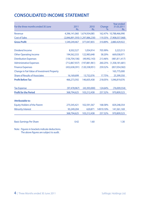# **CONSOLIDATED INCOME STATEMENT**

| For the three months ended 30 June                 | 2011<br>Rs.                         | 2010<br>Rs.     | Change<br>% | <b>Year ended</b><br>31.03.2011<br>Rs. |
|----------------------------------------------------|-------------------------------------|-----------------|-------------|----------------------------------------|
| Revenue                                            | 4,396,141,060 1,674,934,085         |                 |             | 162.47% 10,788,466,990                 |
| <b>Cost of Sales</b>                               | $(2,846,891,593)$ $(1,297,886,230)$ |                 | 119.35%     | (7,908,037,068)                        |
| <b>Gross Profit</b>                                | 1,549,249,467                       | 377,047,855     | 310.89%     | 2,880,429,922                          |
|                                                    |                                     |                 |             |                                        |
| Dividend Income                                    | 8,502,527                           | 1.054.914       | 705.99%     | 3,223,513                              |
| <b>Other Operating Income</b>                      | 194,562,333                         | 122,983,648     | 58.20%      | 669,038,971                            |
| <b>Distribution Expenses</b>                       | (156,704,106)                       | (49.992.143)    | 213.46%     | (481, 811, 417)                        |
| <b>Administrative Expenses</b>                     | (712,867,937)                       | (197,881,961)   | 260.25%     | (1,358,181,681)                        |
| <b>Finance Expenses</b>                            | (432, 638, 391)                     | (120, 338, 951) | 259.52%     | (857,054,582)                          |
| <b>Change in Fair Value of Investment Property</b> |                                     |                 | ÷           | 165,775,000                            |
| <b>Share of Results of Associates</b>              | 16,169,699                          | 13,732,076      | 17.75%      | 25,399,350                             |
| <b>Profit Before Tax</b>                           | 466,273,592                         | 146,605,438     | 218.05%     | 1,046,819,076                          |
|                                                    |                                     |                 |             |                                        |
| <b>Tax Expense</b>                                 | (97, 478, 967)                      | (43,393,000)    | 124.64%     | (76,009,554)                           |
| <b>Profit for the Period</b>                       | 368,794,625                         | 103,212,438     | 257.32%     | 970,809,523                            |
| Attributable to:                                   |                                     |                 |             |                                        |
| <b>Equity Holders of the Parent</b>                | 275,545,421                         | 102,591,567     | 168.58%     | 829,248,354                            |
| <b>Minority Interest</b>                           | 93,249,204                          | 620,871         | 14919.10%   | 141,561,169                            |
|                                                    | 368,794,625                         | 103,212,438     | 257.32%     | 970,809,523                            |
| <b>Basic Earnings Per Share</b>                    | 0.42                                | 1.60            |             | 1.30                                   |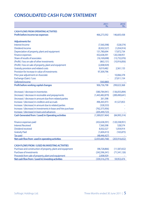# **CONSOLIDATED CASH FLOW STATEMENT**

|                                                                 | 2011<br>Rs.     | 2010<br>Rs.     |
|-----------------------------------------------------------------|-----------------|-----------------|
| <b>CASH FLOWS FROM OPERATING ACTIVITIES</b>                     |                 |                 |
| Profit before income tax expenses                               | 466,273,592     | 146,605,438     |
| <b>Adjustments for:</b>                                         |                 |                 |
| <b>Interest Income</b>                                          | (7,560,398)     | (528, 574)      |
| Dividend income                                                 | (8,502,527)     | (1,054,914)     |
| Depreciation of property, plant and equipment                   | 131,780,694     | 17,872,734      |
| <b>Finance expenses</b>                                         | 432,638,391     | 120,338,951     |
| Share of results of associates                                  | (16, 169, 698)  | (13,732,076)    |
| (Profit) / loss on sale of other investments                    | (863, 131)      | (10, 916, 856)  |
| (Profit) / loss on sale of property, plant and equipment        | (2,008,929)     |                 |
| <b>Gratuity provision and related costs</b>                     | 9,019,482       | 2,561,133       |
| Provision for increase in value of investments                  | 97,309,796      |                 |
| Prior year adjustment on Associate                              |                 | 10,066,378      |
| Exchange (Gain) / Loss                                          |                 | 27,811,154      |
| Deferred income                                                 | (560, 880)      |                 |
| Profit before working capital changes                           | 906,736,798     | 299,023,368     |
| (Increase) / decrease in inventories                            | (580, 784, 941) | (136,055,894)   |
| (Increase) / decrease in receivable and prepayments             | (1,443,482,879) | (289,490,641)   |
| (Increase) / decrease in amount due from related parties        | 261,598         |                 |
| Increase / (decrease) in creditors and accruals                 | 496,365,973     | 41,527,853      |
| Increase / (decrease) in amount due to related parties          | (328, 333)      |                 |
| Increase / (decrease) in investments in lease and hire purchase | (762, 375, 956) |                 |
| Increase / (decrease) in loans and advances                     | (205, 449, 723) |                 |
| Cash Generated from / (used) in Operating activities            | (1,589,057,464) | (84,995,314)    |
| Finance expenses paid                                           | (432, 638, 391) | (120, 338, 951) |
| <b>Interest Received</b>                                        | 7,560,398       | 528,574         |
| Dividend received                                               | 8,502,527       | 1,054,914       |
| <b>Gratuity Paid</b>                                            | (1,604,413)     | (165, 875)      |
| <b>Tax paid</b>                                                 | (48, 446, 427)  |                 |
| Net cash flow from used in operating activities                 | (2,055,683,768) | (203, 916, 652) |
| <b>CASH FLOWS FROM / (USED IN) INVESTING ACTIVITIES</b>         |                 |                 |
| Purchase and construction of property, plant and equipment      | (98, 728, 866)  | (11,587,652)    |
| <b>Purchase of investments</b>                                  | (242, 596, 341) | (71, 541, 126)  |
| Proceeds from sale of property, plant and equipment             | 2,008,929       |                 |
| Net cash flow from / (used in) investing activities             | (339, 316, 279) | 59,953,474      |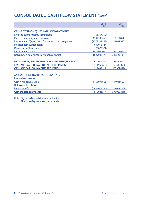# **CONSOLIDATED CASH FLOW STATEMENT** *(Contd)*

|                                                            | 2011<br>Rs.        | 2010<br>Rs.     |
|------------------------------------------------------------|--------------------|-----------------|
| <b>CASH FLOWS FROM / (USED IN) FINANCING ACTIVITIES</b>    |                    |                 |
| Dividend paid to minority shareholders                     | (4,767,350)        |                 |
| Proceeds from long term borrowings                         | 3,101,200,466      | 13,514,861      |
| Proceeds from / (repayment of) short term borrowings (net) | (3,774,539,143)    | 223,692,990     |
| Proceeds from public deposits                              | 680,018,127        |                 |
| Direct cost on Share Issue                                 | (7,875,924)        |                 |
| Proceeds from share issue                                  | 4,031,000,000      | 99,315,936      |
| Net cash flow from / (used in) financing activities        | 4,025,036,176      | 336,523,787     |
|                                                            |                    |                 |
| NET INCREASE / (DECREASE) IN CASH AND CASH EQUIVALENTS     | 1,630,036,132      | 192,560,609     |
| <b>CASH AND CASH EQUIVALENTS AT THE BEGINNING</b>          | (1, 114, 952, 615) | (766, 530, 050) |
| <b>CASH AND CASH EOUIVALENTS AT THE END</b>                | 515,083,517        | (573,969,441)   |
| ANALYSIS OF CASH AND CASH EQUIVALENTS                      |                    |                 |
| <b>Favourable balances</b>                                 |                    |                 |
| Cash in hand and at Bank                                   | 2,166,094,663      | 137,041,669     |
| Unfavourable balances                                      |                    |                 |
| <b>Bank overdrafts</b>                                     | (1,651,011,146)    | (711,011,110)   |
| <b>Cash and cash equivalents</b>                           | 515,083,517        | (573,969,441)   |
|                                                            |                    |                 |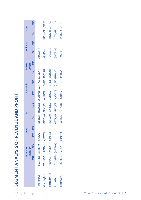# SEGMENT ANALYSIS OF REVENUE AND PROFIT **SEGMENT ANALYSIS OF REVENUE AND PROFIT**

|                         |              | nformation                            |                        | Leisure   |                 | <b>Retail</b>                                              |             | <b>Automobiles</b> |                           | <b>Financial</b><br>Services |                  | Healthcare | <b>Other</b>           |  |
|-------------------------|--------------|---------------------------------------|------------------------|-----------|-----------------|------------------------------------------------------------|-------------|--------------------|---------------------------|------------------------------|------------------|------------|------------------------|--|
|                         |              | 2010<br><b>Technology</b>             |                        | 2011 2010 |                 | 2011 2010                                                  |             | 2011 2010          |                           | 2011 2010                    | 2011 2010        |            | 2011 2010              |  |
| <b>Total Revenue</b>    |              | ,510,245,156 1,236,117,109 18,754,240 |                        |           |                 | 923,185,231 416,250,268 264,037,468 22,566,708 299,135,917 |             |                    |                           |                              | $-1,380,783,048$ |            |                        |  |
| <b>Operating Profit</b> |              | 207,334,540 155,822,095 (6,267,530)   |                        |           | $- 158,213,933$ | 57,585,271                                                 | 40,228,589  |                    | 776,345 27,472,595        |                              | 341,493,682      |            | 114,266,475 39,028,602 |  |
| Profit before Tax       | 16,989,507   |                                       | 99,717,974 (6,370,159) |           | 115,917,299     | 36,918,355                                                 | 37,822,792  |                    | 227,351 31,280,043        |                              | 157,807,526      |            | 12,826,584 9,741,758   |  |
| Income Tax              | (30,748,718) | (33,868,000)                          |                        |           |                 | $(16, 728, 948)$ $(9, 473, 275)$                           | (6,873,360) |                    | $(51,725)$ $(13,899,372)$ |                              | (28,508,505)     |            | (720,065)              |  |
| Profit after Tax        | 86,240,789   |                                       | 65,849,974 (6,370,159) |           |                 | 99,188,351 27,445,080                                      | 30,949,432  |                    | 175,626 17,380,671        |                              | 129,299,021      |            | 12,106,519 9,741,758   |  |
|                         |              |                                       |                        |           |                 |                                                            |             |                    |                           |                              |                  |            |                        |  |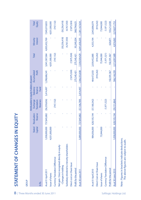| I                                                                                                                       |
|-------------------------------------------------------------------------------------------------------------------------|
|                                                                                                                         |
|                                                                                                                         |
|                                                                                                                         |
| I                                                                                                                       |
| l<br>and the state of the state of the state of the state of the state of the state of the state of the state of th     |
| j                                                                                                                       |
|                                                                                                                         |
|                                                                                                                         |
| $\mathcal{L}(\mathcal{L})$ and $\mathcal{L}(\mathcal{L})$ and $\mathcal{L}(\mathcal{L})$ and $\mathcal{L}(\mathcal{L})$ |
|                                                                                                                         |
| I                                                                                                                       |
|                                                                                                                         |
| П<br>ı                                                                                                                  |
| l                                                                                                                       |
|                                                                                                                         |
|                                                                                                                         |
|                                                                                                                         |
|                                                                                                                         |
|                                                                                                                         |
|                                                                                                                         |
|                                                                                                                         |
|                                                                                                                         |
| <b>Service Service</b><br>i<br>ļ                                                                                        |
|                                                                                                                         |
| l                                                                                                                       |

| <b>GROUP</b>                                                                |                           |                                      |                                                                                 |                              |                       |                             |                             |                 |
|-----------------------------------------------------------------------------|---------------------------|--------------------------------------|---------------------------------------------------------------------------------|------------------------------|-----------------------|-----------------------------|-----------------------------|-----------------|
| In Rs.                                                                      | Stated<br>Capital         | Reserve<br>Revaluation               | Attributable to equity holders of parent<br>Exchange<br>Translation<br>Reserves | Statutory<br>Reserve<br>Fund | Accumulated<br>Profit | Total                       | Interest<br>Minority        | Total<br>Equity |
| As at 01 April 2011                                                         |                           | 1,058,000,000 737,845,882            | (56,359,656)                                                                    | 3,414,497                    | 1,298,686,341         | 3,041,587,064 4,003,432,769 |                             | 7,045,019,833   |
| Issue of shares                                                             | 4,031,000,000             |                                      |                                                                                 |                              |                       | 4,031,000,000               |                             | 4,031,000,000   |
| Currency Translation Difference                                             |                           |                                      | (747, 132)                                                                      |                              |                       | (747, 132)                  |                             | (747, 132)      |
| cognised directly in equity<br>-Changes in holding<br>Net gain / (loss) rec |                           |                                      |                                                                                 |                              |                       |                             | (50,256,418)                | (50,256,418)    |
| Subsidiary dividend to minority shareholders                                |                           |                                      |                                                                                 |                              |                       |                             | (4,767,350)                 | (4,767,350)     |
| Direct cost on Share Issue                                                  |                           |                                      |                                                                                 |                              | (7, 875, 924)         | (7,875,924)                 |                             | (7,875,924)     |
| Profit for the period                                                       |                           |                                      |                                                                                 |                              | 275,545,421           | 275,545,421                 | 93,249,204                  | 368,794,625     |
| As at 30 June 2011                                                          | 5,089,000,000 737,845,882 |                                      | (57, 106, 789)                                                                  | 3,414,497                    | 1,566,355,838         |                             | 7,339,509,429 4,041,658,205 | 11,381,167,634  |
| As at 01 April 2010                                                         |                           | 984,056,000 628,105,194 (37,180,342) |                                                                                 |                              | 464,472,033           | 2,039,452,885               | 4,353,194                   | 2,043,806,079   |
| Direct Cost on Share Issue                                                  |                           |                                      |                                                                                 |                              | (919,242)             | (919,242)                   |                             | (919,242)       |
| Issue of shares                                                             | 73,944,000                |                                      |                                                                                 |                              |                       | 73,944,000                  |                             | 73,944,000      |
| Currency Translation Difference                                             |                           |                                      | (1,971,522)                                                                     |                              |                       | (1,971,521)                 |                             | (1,971,522)     |
| Profit for the period                                                       |                           |                                      |                                                                                 |                              | 102,591,567           | 102,591,567                 | 620,871                     | 103,212,438     |
| As at 30 June 2010                                                          |                           | ,058,000,000 628,105,194             | (39, 151, 864)                                                                  |                              | 566,144,359           | 2,213,097,689               | 4,974,065                   | 2,218,071,753   |

| <b>As at 01 April 2010</b>             |                                        | 984,056,000 628,105,194 (37,180,342) | 464,472,033 | 2,039,452,885                                     |         | 4,353,194 2,043,806,079 |
|----------------------------------------|----------------------------------------|--------------------------------------|-------------|---------------------------------------------------|---------|-------------------------|
| <b>Direct Cost on Share Issue</b>      |                                        |                                      | (919,242)   | (919,242)                                         |         | (919,242)               |
| ssue of shares                         | 73,944,000                             |                                      |             | 73,944,000                                        |         | 73,944,000              |
| <b>Currency Translation Difference</b> |                                        | 1,971,522)                           |             | (1,971,521)                                       |         | (1,971,522)             |
| Profit for the period                  |                                        |                                      |             |                                                   | 620,871 | 103,212,438             |
| As at 30 June 2010                     | 1,058,000,000 628,105,194 (39,151,864) |                                      |             | 566,144,359 2,213,097,689 4,974,065 2,218,071,753 |         |                         |
|                                        |                                        |                                      |             |                                                   |         |                         |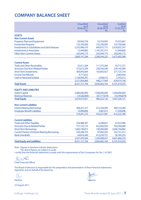# **COMPANY BALANCE SHEET**

|                                                       | <b>Unaudited</b><br>as at<br>30.06.2011<br>Rs. | <b>Unaudited</b><br>as at<br>30.06.2010<br>Rs. | <b>Audited</b><br>as at<br>31.03.2011<br>Rs. |
|-------------------------------------------------------|------------------------------------------------|------------------------------------------------|----------------------------------------------|
| <b>ASSETS</b>                                         |                                                |                                                |                                              |
| <b>Non-Current Assets</b>                             |                                                |                                                |                                              |
| <b>Property, Plant and Equipment</b>                  | 83,956,739                                     | 53,743,050                                     | 73,555,667                                   |
| <b>Investment Property</b>                            | 125,700,000                                    | 125,700,000                                    | 125,700,000                                  |
| <b>Investments in Subsidiaries and Joint Ventures</b> | 5,335,996,570                                  | 640,975,715                                    | 5,018,655,747                                |
| <b>Investments in Associates</b>                      | 12,449,800                                     | 1,145,781,315                                  | 12,449,800                                   |
| <b>Other Non-Currents Assets</b>                      | 242,044,175                                    | 242,044,175                                    | 242,044,175                                  |
|                                                       | 5,800,147,284                                  | 2.208.244.255                                  | 5,472,405,389                                |
| <b>Current Assets</b>                                 |                                                |                                                |                                              |
| <b>Trade and Other Receivables</b>                    | 55,611,204                                     | 111,375,364                                    | 70,715,721                                   |
| <b>Amounts Due from Related Parties</b>               | 372,673,299                                    | 230,540,546                                    | 278,145,009                                  |
| <b>Short Term Investments</b>                         | 369,043,064                                    | 103,843,427                                    | 271,725,154                                  |
| <b>Income Tax Refunds</b>                             | 4,717,622                                      |                                                | 2,685,050                                    |
| <b>Cash in Hand and at Bank</b>                       | 1,728,959,291                                  | 2,458,572                                      | 5,743,212                                    |
|                                                       | 2,531,004,480                                  | 448,217,909                                    | 629,014,146                                  |
| <b>Total Assets</b>                                   | 8,331,151,764                                  | 2,656,462,164                                  | 6,101,419,535                                |
| <b>EOUITY AND LIABILITIES</b>                         |                                                |                                                |                                              |
| <b>Stated Capital</b>                                 | 5,089,000,000                                  | 1,058,000,000                                  | 1,058,000,000                                |
| <b>Revenue Reserves</b>                               | (14,526,069)                                   | (67,777,874)                                   | (10,769,879)                                 |
| <b>Total Equity</b>                                   | 5,074,473,931                                  | 990,222,126                                    | 1,047,230,121                                |
| <b>Non-current Liabilities</b>                        |                                                |                                                |                                              |
| <b>Interest Bearing Borrowings</b>                    | 308,201,377                                    | 412,244,509                                    | 400,723,284                                  |
| <b>Employee Benefit Liabilities</b>                   | 10,999,896                                     | 3,987,072                                      | 11,599,896                                   |
|                                                       | 319,201,273                                    | 416,231,581                                    | 412,323,180                                  |
| <b>Current Liabilities</b>                            |                                                |                                                |                                              |
| <b>Trade and Other Payables</b>                       | 234,488,307                                    | 6,208,601                                      | 67,623,996                                   |
| <b>Amounts Due to Related Parties</b>                 | 757,732,123                                    | 632,856,920                                    | 704,590,689                                  |
| <b>Short Term Borrowings</b>                          | 1,660,190,815                                  | 100,000,000                                    | 3,690,744,882                                |
| <b>Current Portion of Interest Bearing Borrowings</b> | 220,248,755                                    | 97,692,205                                     | 142,721,412                                  |
| <b>Bank Overdrafts</b>                                | 64,816,560                                     | 413,250,731                                    | 36,185,255                                   |
|                                                       | 2,937,476,560                                  | 1,250,008,457                                  | 4,641,866,234                                |
| <b>Total Equity and Liabilities</b>                   | 8,331,151,764                                  | 2,656,462,164                                  | 6,101,419,535                                |

Note : Figures in brackets indicate deductions. The above figures are subject to audit. I certify that the financial statements comply with the requirements of the Companies Act No. 7 of 2007.

GOU OND

Chief Financial Officer

The Board of directors is responsible for the preparation and presentation of these financial statements. Signed for and on behalf of the Board by,

22 August 2011

logie **Director** Director **Director** Director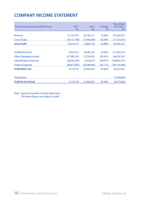# **COMPANY INCOME STATEMENT**

| For the three months ended 30 June | 2011<br>Rs.    | 2010<br>Rs.    | Change<br>$\%$ | Year ended<br>31.03.2011<br>Rs. |
|------------------------------------|----------------|----------------|----------------|---------------------------------|
| Revenue                            | 51,747,910     | 29,746,212     | 73.96%         | 159,556,537                     |
| <b>Cost of Sales</b>               | (29, 131, 788) | (15,946,084)   | 82.69%         | (77, 315, 815)                  |
| <b>Gross Profit</b>                | 22,616,121     | 13,800,128     | 63.88%         | 82,240,722                      |
|                                    |                |                |                |                                 |
| Dividend Income                    | 8,502,527      | 18,246,729     | $-53.40%$      | 151,065,019                     |
| <b>Other Operating Income</b>      | 107,983,185    | 27,336,076     | 295.02%        | 148,350,102                     |
| <b>Administrative Expenses</b>     | (46,504,297)   | (7,630,257)    | 509.47%        | (108, 843, 591)                 |
| <b>Finance Expenses</b>            | (88,477,802)   | (29, 286, 844) | 202.11%        | (190, 154, 560)                 |
| <b>Profit Before Tax</b>           | 4,119,734      | 22,465,833     | $-81.66%$      | 82,657,692                      |
|                                    |                |                |                |                                 |
| <b>Tax Expense</b>                 |                |                | ۰              | (3, 183, 864)                   |
| <b>Profit for the Period</b>       | 4,119,734      | 22,465,833     | $-81.66%$      | 79,473,828                      |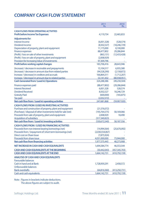# **COMPANY CASH FLOW STATEMENT**

|                                                                      | 2011<br>Rs.                    | 2010<br>Rs.              |
|----------------------------------------------------------------------|--------------------------------|--------------------------|
| <b>CASH FLOWS FROM OPERATING ACTIVITIES</b>                          |                                |                          |
| <b>Profit before Income Tax Expenses</b>                             | 4,119,734                      | 22,465,833               |
| <b>Adjustments for:</b>                                              |                                |                          |
| <b>Interest Income</b>                                               | (6,001,328)                    | (528, 574)               |
| Dividend income                                                      | (8,502,527)                    | (18, 246, 729)           |
| Depreciation of property, plant and equipment                        | 11,175,000                     | 8,100,000                |
| <b>Finance expenses</b>                                              | 88,477,802                     | 29,286,844               |
| (Profit) / loss on sale of other investments                         | (863, 131)                     | (12,433,428)             |
| (Profit) / loss on sale of property, plant and equipment             | (2,008,929)                    |                          |
| <b>Provision for Increasing Value of investments</b>                 | 97.309.796                     |                          |
| <b>Profit before working capital changes</b>                         | 183,706,416                    | 28,643,946               |
| (Increase) / decrease in receivable and prepayments                  | 15,104,517                     | 6,935,580                |
| (Increase) / decrease in amount due from related parties             | (94,528,290)                   | (2, 158, 872)            |
| Increase / (decrease) in creditors and accruals                      | 166,864,311                    | (1,712,207)              |
| Increase / (decrease) in amount due to related parties               | 53,141,432                     | (80,938,951)             |
| <b>Cash Generated from/ (used in) Operations</b>                     | 324,288,386                    | (49, 230, 504)           |
| Finance expenses paid                                                | (88, 477, 802)                 | (29, 286, 844)           |
| <b>Interest Received</b>                                             | 6,001,328                      | 528,574                  |
| <b>Dividend Received</b>                                             | 8,502,527                      | 18,246,729               |
| <b>Gratuity Paid</b>                                                 | (600,000)                      | (165, 875)               |
| <b>Tax paid</b>                                                      | (2,032,572)                    |                          |
| Net cash flow from / (used in) operating activities                  | 247,681,868                    | (59,907,920)             |
| <b>CASH FLOWS FROM /(USED IN) INVESTING ACTIVITIES</b>               |                                |                          |
| Purchase and construction of property, plant and equipment           | (21, 576, 072)                 |                          |
| (Purchase) / disposal of other investments held for sale (net)       | (193,764,575)                  | 58,169,066               |
| Proceeds from sale of property, plant and equipment                  | 2,008,929                      | 18,490                   |
| <b>Acquisition of subsidiary</b>                                     | (317, 340, 823)                |                          |
| Net cash flow from / (used in) investing activities                  | (530.672.540)                  | 58,187,556               |
| <b>CASH FLOWS FROM / (USED IN) FINANCING ACTIVITIES</b>              |                                |                          |
| Proceeds from non interest bearing borrowings (net)                  | (14,994,564)                   | (25,670,092)             |
| Proceeds from / (repayment of) short term borrowings (net)           | (2,030,554,067)                |                          |
| Direct cost on Share Issue                                           | (7,875,924)                    |                          |
| Proceeds from share issue<br>Net cash flow from financing activities | 4,031,000,000<br>1,977,575,445 | 73,944,000<br>48,273,908 |
|                                                                      |                                |                          |
| NET INCREASE IN CASH AND CASH EQUIVALENTS                            | 1,694,584,774                  | 46,553,544               |
| <b>CASH AND CASH EQUIVALENTS AT THE BEGINNING</b>                    | (30,442,043)                   | (457, 345, 703)          |
| <b>CASH AND CASH EOUIVALENTS AT THE END</b>                          | 1,664,142,731                  | (410.792.159)            |
| <b>ANALYSIS OF CASH AND CASH EQUIVALENTS</b>                         |                                |                          |
| <b>Favourable balances</b>                                           |                                |                          |
| Cash in hand and at Bank                                             | 1,728,959,291                  | 2,458,572                |
| Unfavourable balances                                                |                                |                          |
| <b>Bank overdrafts</b>                                               | (64,816,560)                   | (413,250,731)            |
| <b>Cash and cash equivalents</b>                                     | 1,664,142,731                  | (410,792,159)            |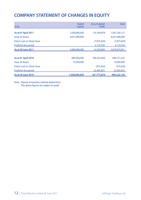# **COMPANY STATEMENT OF CHANGES IN EQUITY**

| In Rs.                       | <b>Stated</b><br>Capital | Accumulated<br>Profit | <b>Total</b>  |
|------------------------------|--------------------------|-----------------------|---------------|
| As at 01 April 2011          | 1,058,000,000            | (10,769,879)          | 1,047,230,121 |
| Issue of shares              | 4,031,000,000            |                       | 4,031,000,000 |
| Direct cost on Share Issue   |                          | (7,875,924)           | (7,875,924)   |
| <b>Profit for the period</b> |                          | 4.119.734             | 4.119.734     |
| As at 30 June 2011           | 5,089,000,000            | 14,526,069            | 5.074.473.931 |
|                              |                          |                       |               |
| <b>As at 01 April 2010</b>   | 984,056,000              | (89, 324, 465)        | 894,731,535   |
| <b>Issue of shares</b>       | 73,944,000               |                       | 73,944,000    |
| Direct cost on Share Issue   |                          | (919,242)             | (919,242)     |
| Profit for the period        |                          | 22,465,833            | 22,465,833    |
| As at 30 June 2010           | 1,058,000,000            | (67.777.874)          | 990.222.126   |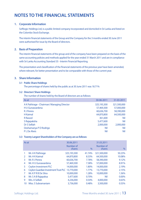# **NOTES TO THE FINANCIAL STATEMENTS**

#### **1. Corporate Information**

Softlogic Holdings Ltd, is a public limited company incorporated and domiciled in Sri Lanka and listed on the Colombo Stock Exchange.

The interim financial statements of the Group and the Company for the 3 months ended 30 June 2011 were authorised for issue by the Board of directors.

#### **2. Basis of Preparation**

The interim financial statements of the group and of the company have been prepared on the basis of the same accounting policies and methods applied for the year ended 31 March 2011 and are in compliance with Sri Lanka Accounting Standard 35 - Interim Financial Reporting.

The presentation and classification of the financial statements of the previous year have been amended, where relevant, for better presentation and to be comparable with those of the current year.

#### **3. Share Information**

#### **3.1 Public Share Holdings**

The percentage of shares held by the public as at 30 June 2011 was 18.71%

#### **3.2 Directors' Share Holdings**

The number of shares held by the Board of directors are as follows:

| As at                                      | 30-06-2011  | 31-03-2011  |
|--------------------------------------------|-------------|-------------|
| A K Pathirage - Chairman/Managing Director | 325,193,300 | 321,500,000 |
| H U Gunawardena                            | 57,469,300  | 57,000,000  |
| <b>R</b> J Perera                          | 60,636,700  | 58,390,000  |
| <b>H</b> Kaimal                            | 64,870,800  | 64,500,000  |
| <b>R</b> Rasool                            | 361,600     | Nil         |
| S Rajapaksha                               | 5,477,600   | Nil         |
| Dr S Selliah                               | 2,000,000   | 2,000,000   |
| Deshamanya P D Rodrigo                     | Nil         | Nil         |
| <b>PLDe Alwis</b>                          | Nil         | Nil         |

#### **3.3 Twenty Largest Shareholders of the Company are as follows:**

| As at         |                                                 | 30.06.2011  |        | 31.03.2011  |               |
|---------------|-------------------------------------------------|-------------|--------|-------------|---------------|
|               |                                                 | Number of   |        | Number of   |               |
|               |                                                 | shares      | $\%$   | shares      | $\frac{0}{0}$ |
|               | Mr. A K Pathirage                               | 325,193,300 | 41.74% | 321,500,000 | 50.23%        |
| $\mathcal{P}$ | Mr. H K Kaimal                                  | 64,870,800  | 8.33%  | 64,500,000  | 10.08%        |
| 3             | Mr. R J Perera                                  | 60,636,700  | 7.78%  | 58,390,000  | 9.12%         |
| 4             | Mr. H U Gunawardena                             | 57,469,300  | 7.38%  | 57,000,000  | 8.91%         |
| 5             | <b>Ceylon Investment PLC</b>                    | 14,000,000  | 1.80%  | 14,000,000  | 2.19%         |
| 6             | Ceylon Guardian Investment Trust PLC 13,770,000 |             | 1.77%  | 13,770,000  | 2.15%         |
| 7             | Mr. KPRB De Silva                               | 10,000,000  | 1.28%  | 10,000,000  | 1.56%         |
| 8             | Mr. S A B Rajapaksa                             | 5,477,600   | 0.70%  | Nil         | 0.00%         |
| 9             | Mrs. A Selliah                                  | 4,236,000   | 0.54%  | 4,000,000   | 0.63%         |
| 10            | Miss. S Subramaniam                             | 3,736,000   | 0.48%  | 3,500,000   | 0.55%         |
|               |                                                 |             |        |             |               |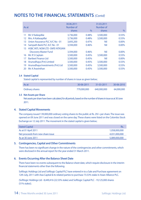# **NOTES TO THE FINANCIAL STATEMENTS** *(Contd)*

| As at |                                        | 30.06.2011<br>Number of<br>shares | $\%$  | 31.03.2011<br>Number of<br>shares | $\%$     |
|-------|----------------------------------------|-----------------------------------|-------|-----------------------------------|----------|
| 11    | Mr. V Kailaspillai                     | 3,736,000                         | 0.48% | 3,500,000                         | 0.55%    |
| 12    | Mrs. A Kailasapillai                   | 3,736,000                         | 0.48% | 3,500,000                         | 0.55%    |
| 13    | Union Assurance PLC A/C No - 01        | 3,693,200                         | 0.47% | Nil                               | 0.00%    |
| 14    | Sampath Bank PLC A/C No - 01           | 3,594,000                         | 0.46% | Nil                               | $0.00\%$ |
| 15.   | <b>HSBC INTL NOM LTD -SNFE-NTASIAN</b> |                                   |       |                                   |          |
|       | <b>Discovery Master Fund</b>           | 3,594,000                         | 0.46% | Nil                               | $0.00\%$ |
| 16    | Mr. R S Captain                        | 3,500,000                         | 0.45% | 3,500,000                         | 0.55%    |
| 17    | <b>Bartleet Finance Ltd</b>            | 3,500,000                         | 0.45% | Nil                               | 0.00%    |
| 18    | Arunodhaya (Pvt) Limited               | 3,500,000                         | 0.45% | 3,500,000                         | 0.55%    |
| 19    | Arunodhaya Investments (Pvt) Ltd       | 3,500,000                         | 0.45% | 3,500,000                         | 0.55%    |
| 20    | Mr. K Aravinthan                       | 3,500,000                         | 0.45% | 3,500,000                         | 0.55%    |

#### **3.4 Stated Capital**

Stated capital is represented by number of shares in issue as given below;

| As at           | 30-06-2011  | 31-03-2011  | 30-06-2010 |
|-----------------|-------------|-------------|------------|
| Ordinary shares | 779,000,000 | 640,000,000 | 64,000,000 |

#### **3.5 Net Assets per Share**

 Net assets per share have been calculated, for all periods, based on the number of shares in issue as at 30 June 2011.

#### **4. Stated Capital Movements**

The company issued 139,000,000 ordinary voting shares to the public at Rs. 29/= per share. The issue was opened on 09 June 2011 and was closed on the same day. These shares were listed on the Colombo Stock Exchange on 12 July 2011. The movement in the stated capital is given below;

| <b>Stated Capital</b>             | Rs.           |
|-----------------------------------|---------------|
| As at 01 April 2011               | 1.058.000.000 |
| Net proceeds from new share issue | 4.031.000.000 |
| As at 30 June 2011                | 5,089,000,000 |

#### **5. Contingencies, Capital and Other Commitments**

There has been no significant change in the nature of the contingencies and other commitments, which were disclosed in the annual report for the year ended 31 March 2011.

#### **6. Events Occurring After the Balance Sheet Date**

There have been no events subsequent to the Balance sheet date, which require disclosure in the interim financial statements other than the following.

Softlogic Holdings Ltd and Softlogic Capital PLC have entered in to a Sale and Purchase agreement on 12th July, 2011 with Asia Capital & its related parties to purchase 73.53% stake in Asian Alliance PLC.

(Softlogic Holdings Ltd - 8,449,416 (22.53% stake) and Softlogic Capital PLC - 19,125,000 shares (51% stake)).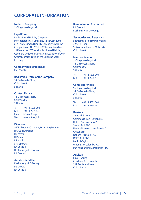# **CORPORATE INFORMATION**

**Name of Company** Softlogic Holdings Ltd.

#### **Legal Form**

Public Limited Liability Company Incorporated in Sri Lanka on 25 February 1998 as a Private Limited Liability Company under the Companies Act No. 17 of 1982 Re-registered on 10 December 2007 as a Public Limited Liability Company under the Companies Act No 07 of 2007 Ordinary shares listed on the Colombo Stock **Exchange** 

**Company Registration No** PV 1536 PB

#### **Registered Office of the Company**

14, De Fonseka Place, Colombo 05 Sri Lanka

#### **Contact Details**

14, De Fonseka Place, Colombo 05 Sri Lanka

Tel : +94 11 5575 000  $Fax : +94112595441$ E-mail : info@softlogic.lk Web : www.softlogic.lk

#### **Directors**

A K Pathirage - Chairman/Managing Director H U Gunawardena R J Perera H Kaimal R Rasool S Rajapaksha Dr. S Selliah Deshamanya P D Rodrigo P L De Alwis

#### **Audit Committee**

Deshamanya P D Rodrigo P L De Alwis Dr. S Selliah

#### **Remuneration Committee**

P L De Alwis Deshamanya P D Rodrigo

#### **Secretaries and Registrars**

Secretaries & Registrars (Pvt) Ltd 32A, 1st Floor, Sir Mohamed Macon Makar Mw., Colombo 03.

#### **Investor Relations**

Softlogic Holdings Ltd 14, De Fonseka Place, Colombo 05 Sri Lanka

Tel : +94 11 5575 000  $Fax + 94 11 2595 441$ 

#### **Contact for Media**

Softlogic Holdings Ltd 14, De Fonseka Place, Colombo 05 Sri Lanka

Tel : +94 11 5575 000 Fax : +94 11 2595 441

#### **Bankers**

Sampath Bank PLC Commercial Bank Ceylon PLC Hatton National Bank PLC Seylan Bank PLC National Development Bank PLC Citibank NA Nations Trust Bank PLC DFCC Bank PLC Bank of Ceylon Union Bank Colombo PLC Pan Asia Banking Corporation PLC

#### **Auditors**

Ernst & Young Chartered Accountants 201, De Saram Place, Colombo 10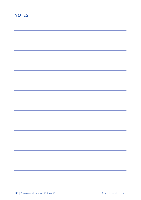# **NOTES**